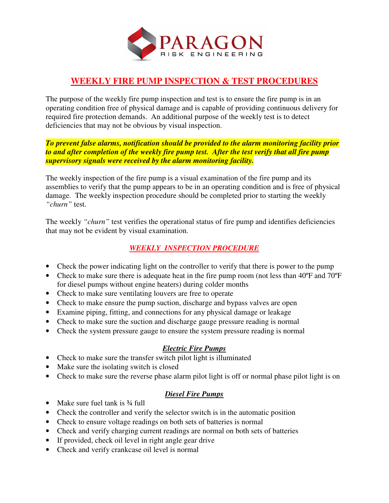

### **WEEKLY FIRE PUMP INSPECTION & TEST PROCEDURES**

The purpose of the weekly fire pump inspection and test is to ensure the fire pump is in an operating condition free of physical damage and is capable of providing continuous delivery for required fire protection demands. An additional purpose of the weekly test is to detect deficiencies that may not be obvious by visual inspection.

*To prevent false alarms, notification should be provided to the alarm monitoring facility prior to and after completion of the weekly fire pump test. After the test verify that all fire pump supervisory signals were received by the alarm monitoring facility.* 

The weekly inspection of the fire pump is a visual examination of the fire pump and its assemblies to verify that the pump appears to be in an operating condition and is free of physical damage. The weekly inspection procedure should be completed prior to starting the weekly *"churn"* test.

The weekly *"churn"* test verifies the operational status of fire pump and identifies deficiencies that may not be evident by visual examination.

### *WEEKLY INSPECTION PROCEDURE*

- Check the power indicating light on the controller to verify that there is power to the pump
- Check to make sure there is adequate heat in the fire pump room (not less than 40°F and 70°F for diesel pumps without engine heaters) during colder months
- Check to make sure ventilating louvers are free to operate
- Check to make ensure the pump suction, discharge and bypass valves are open
- Examine piping, fitting, and connections for any physical damage or leakage
- Check to make sure the suction and discharge gauge pressure reading is normal
- Check the system pressure gauge to ensure the system pressure reading is normal

#### *Electric Fire Pumps*

- Check to make sure the transfer switch pilot light is illuminated
- Make sure the isolating switch is closed
- Check to make sure the reverse phase alarm pilot light is off or normal phase pilot light is on

#### *Diesel Fire Pumps*

- Make sure fuel tank is 3/4 full
- Check the controller and verify the selector switch is in the automatic position
- Check to ensure voltage readings on both sets of batteries is normal
- Check and verify charging current readings are normal on both sets of batteries
- If provided, check oil level in right angle gear drive
- Check and verify crankcase oil level is normal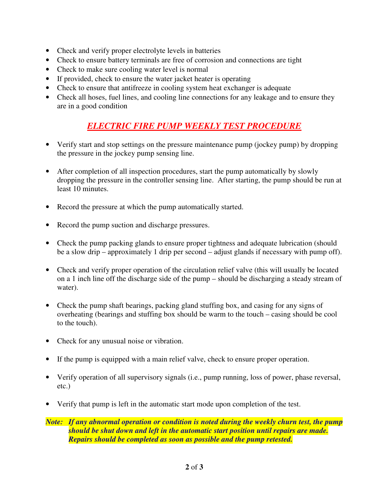- Check and verify proper electrolyte levels in batteries
- Check to ensure battery terminals are free of corrosion and connections are tight
- Check to make sure cooling water level is normal
- If provided, check to ensure the water jacket heater is operating
- Check to ensure that antifreeze in cooling system heat exchanger is adequate
- Check all hoses, fuel lines, and cooling line connections for any leakage and to ensure they are in a good condition

# *ELECTRIC FIRE PUMP WEEKLY TEST PROCEDURE*

- Verify start and stop settings on the pressure maintenance pump (jockey pump) by dropping the pressure in the jockey pump sensing line.
- After completion of all inspection procedures, start the pump automatically by slowly dropping the pressure in the controller sensing line. After starting, the pump should be run at least 10 minutes.
- Record the pressure at which the pump automatically started.
- Record the pump suction and discharge pressures.
- Check the pump packing glands to ensure proper tightness and adequate lubrication (should be a slow drip – approximately 1 drip per second – adjust glands if necessary with pump off).
- Check and verify proper operation of the circulation relief valve (this will usually be located on a 1 inch line off the discharge side of the pump – should be discharging a steady stream of water).
- Check the pump shaft bearings, packing gland stuffing box, and casing for any signs of overheating (bearings and stuffing box should be warm to the touch – casing should be cool to the touch).
- Check for any unusual noise or vibration.
- If the pump is equipped with a main relief valve, check to ensure proper operation.
- Verify operation of all supervisory signals (i.e., pump running, loss of power, phase reversal, etc.)
- Verify that pump is left in the automatic start mode upon completion of the test.

*Note: If any abnormal operation or condition is noted during the weekly churn test, the pump should be shut down and left in the automatic start position until repairs are made. Repairs should be completed as soon as possible and the pump retested.*